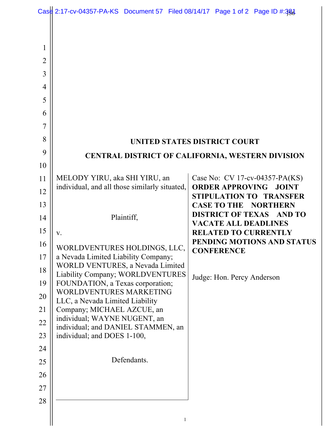|                                                                                                                                                                          | Case 2:17-cv-04357-PA-KS Document 57 Filed 08/14/17 Page 1 of 2 Page ID #:384                                                                                                                                                                                                                                                                                                                                                                                            |                           |   |                                                                                                                       |                                                                                                                                                                                                                                                                              |
|--------------------------------------------------------------------------------------------------------------------------------------------------------------------------|--------------------------------------------------------------------------------------------------------------------------------------------------------------------------------------------------------------------------------------------------------------------------------------------------------------------------------------------------------------------------------------------------------------------------------------------------------------------------|---------------------------|---|-----------------------------------------------------------------------------------------------------------------------|------------------------------------------------------------------------------------------------------------------------------------------------------------------------------------------------------------------------------------------------------------------------------|
| 1<br>2<br>3<br>$\overline{4}$<br>5<br>6<br>7<br>8<br>9<br>10<br>11<br>12<br>13<br>14<br>15<br>16<br>17<br>18<br>19<br>20<br>21<br>22<br>23<br>24<br>25<br>26<br>27<br>28 | MELODY YIRU, aka SHI YIRU, an<br>individual, and all those similarly situated,<br>V.<br>WORLDVENTURES HOLDINGS, LLC,<br>a Nevada Limited Liability Company;<br>WORLD VENTURES, a Nevada Limited<br>Liability Company; WORLDVENTURES<br>FOUNDATION, a Texas corporation;<br>WORLDVENTURES MARKETING<br>LLC, a Nevada Limited Liability<br>Company; MICHAEL AZCUE, an<br>individual; WAYNE NUGENT, an<br>individual; and DANIEL STAMMEN, an<br>individual; and DOES 1-100, | Plaintiff,<br>Defendants. | 1 | <b>UNITED STATES DISTRICT COURT</b><br><b>VACATE ALL DEADLINES</b><br><b>CONFERENCE</b><br>Judge: Hon. Percy Anderson | CENTRAL DISTRICT OF CALIFORNIA, WESTERN DIVISION<br>Case No: CV 17-cv-04357-PA(KS)<br><b>ORDER APPROVING JOINT</b><br>STIPULATION TO TRANSFER<br><b>CASE TO THE NORTHERN</b><br><b>DISTRICT OF TEXAS AND TO</b><br><b>RELATED TO CURRENTLY</b><br>PENDING MOTIONS AND STATUS |
|                                                                                                                                                                          |                                                                                                                                                                                                                                                                                                                                                                                                                                                                          |                           |   |                                                                                                                       |                                                                                                                                                                                                                                                                              |